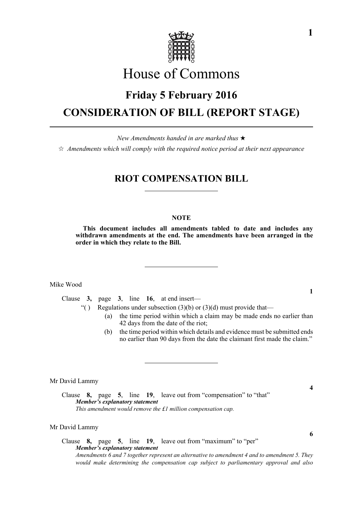

# House of Commons

# **Friday 5 February 2016 CONSIDERATION OF BILL (REPORT STAGE)**

*New Amendments handed in are marked thus* 

 $\hat{\varphi}$  Amendments which will comply with the required notice period at their next appearance

# **RIOT COMPENSATION BILL**

# **NOTE**

**This document includes all amendments tabled to date and includes any withdrawn amendments at the end. The amendments have been arranged in the order in which they relate to the Bill.**

Mike Wood

Clause **3,** page **3**, line **16**, at end insert—

"() Regulations under subsection  $(3)(b)$  or  $(3)(d)$  must provide that—

- (a) the time period within which a claim may be made ends no earlier than 42 days from the date of the riot;
- (b) the time period within which details and evidence must be submitted ends no earlier than 90 days from the date the claimant first made the claim."

Mr David Lammy

Clause **8,** page **5**, line **19**, leave out from "compensation" to "that" *Member's explanatory statement This amendment would remove the £1 million compensation cap.*

#### Mr David Lammy

# Clause **8,** page **5**, line **19**, leave out from "maximum" to "per" *Member's explanatory statement Amendments 6 and 7 together represent an alternative to amendment 4 and to amendment 5. They would make determining the compensation cap subject to parliamentary approval and also*

**1**

**4**

**6**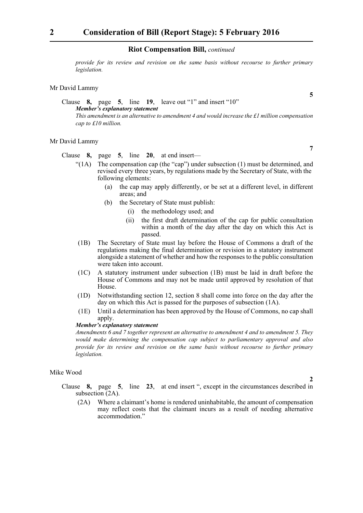# **Riot Compensation Bill,** *continued*

*provide for its review and revision on the same basis without recourse to further primary legislation.*

# Mr David Lammy

# Clause **8,** page **5**, line **19**, leave out "1" and insert "10" *Member's explanatory statement This amendment is an alternative to amendment 4 and would increase the £1 million compensation cap to £10 million.*

### Mr David Lammy

Clause **8,** page **5**, line **20**, at end insert—

- "(1A) The compensation cap (the "cap") under subsection (1) must be determined, and revised every three years, by regulations made by the Secretary of State, with the following elements:
	- (a) the cap may apply differently, or be set at a different level, in different areas; and
	- (b) the Secretary of State must publish:
		- (i) the methodology used; and
		- (ii) the first draft determination of the cap for public consultation within a month of the day after the day on which this Act is passed.
- (1B) The Secretary of State must lay before the House of Commons a draft of the regulations making the final determination or revision in a statutory instrument alongside a statement of whether and how the responses to the public consultation were taken into account.
- (1C) A statutory instrument under subsection (1B) must be laid in draft before the House of Commons and may not be made until approved by resolution of that House.
- (1D) Notwithstanding section 12, section 8 shall come into force on the day after the day on which this Act is passed for the purposes of subsection (1A).
- (1E) Until a determination has been approved by the House of Commons, no cap shall apply.

# *Member's explanatory statement*

*Amendments 6 and 7 together represent an alternative to amendment 4 and to amendment 5. They would make determining the compensation cap subject to parliamentary approval and also provide for its review and revision on the same basis without recourse to further primary legislation.*

# Mike Wood

Clause **8,** page **5**, line **23**, at end insert ", except in the circumstances described in subsection (2A).

(2A) Where a claimant's home is rendered uninhabitable, the amount of compensation may reflect costs that the claimant incurs as a result of needing alternative accommodation."

**5**

**7**

**2**